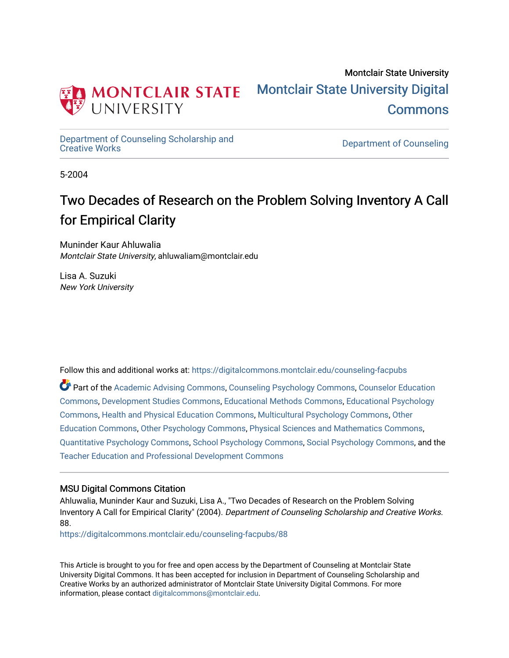

Montclair State University [Montclair State University Digital](https://digitalcommons.montclair.edu/)  [Commons](https://digitalcommons.montclair.edu/) 

[Department of Counseling Scholarship and](https://digitalcommons.montclair.edu/counseling-facpubs)

Department of Counseling

5-2004

# Two Decades of Research on the Problem Solving Inventory A Call for Empirical Clarity

Muninder Kaur Ahluwalia Montclair State University, ahluwaliam@montclair.edu

Lisa A. Suzuki New York University

Follow this and additional works at: [https://digitalcommons.montclair.edu/counseling-facpubs](https://digitalcommons.montclair.edu/counseling-facpubs?utm_source=digitalcommons.montclair.edu%2Fcounseling-facpubs%2F88&utm_medium=PDF&utm_campaign=PDFCoverPages) 

Part of the [Academic Advising Commons](http://network.bepress.com/hgg/discipline/1403?utm_source=digitalcommons.montclair.edu%2Fcounseling-facpubs%2F88&utm_medium=PDF&utm_campaign=PDFCoverPages), [Counseling Psychology Commons](http://network.bepress.com/hgg/discipline/1044?utm_source=digitalcommons.montclair.edu%2Fcounseling-facpubs%2F88&utm_medium=PDF&utm_campaign=PDFCoverPages), [Counselor Education](http://network.bepress.com/hgg/discipline/1278?utm_source=digitalcommons.montclair.edu%2Fcounseling-facpubs%2F88&utm_medium=PDF&utm_campaign=PDFCoverPages)  [Commons](http://network.bepress.com/hgg/discipline/1278?utm_source=digitalcommons.montclair.edu%2Fcounseling-facpubs%2F88&utm_medium=PDF&utm_campaign=PDFCoverPages), [Development Studies Commons](http://network.bepress.com/hgg/discipline/1422?utm_source=digitalcommons.montclair.edu%2Fcounseling-facpubs%2F88&utm_medium=PDF&utm_campaign=PDFCoverPages), [Educational Methods Commons](http://network.bepress.com/hgg/discipline/1227?utm_source=digitalcommons.montclair.edu%2Fcounseling-facpubs%2F88&utm_medium=PDF&utm_campaign=PDFCoverPages), [Educational Psychology](http://network.bepress.com/hgg/discipline/798?utm_source=digitalcommons.montclair.edu%2Fcounseling-facpubs%2F88&utm_medium=PDF&utm_campaign=PDFCoverPages) [Commons](http://network.bepress.com/hgg/discipline/798?utm_source=digitalcommons.montclair.edu%2Fcounseling-facpubs%2F88&utm_medium=PDF&utm_campaign=PDFCoverPages), [Health and Physical Education Commons,](http://network.bepress.com/hgg/discipline/1327?utm_source=digitalcommons.montclair.edu%2Fcounseling-facpubs%2F88&utm_medium=PDF&utm_campaign=PDFCoverPages) [Multicultural Psychology Commons,](http://network.bepress.com/hgg/discipline/1237?utm_source=digitalcommons.montclair.edu%2Fcounseling-facpubs%2F88&utm_medium=PDF&utm_campaign=PDFCoverPages) [Other](http://network.bepress.com/hgg/discipline/811?utm_source=digitalcommons.montclair.edu%2Fcounseling-facpubs%2F88&utm_medium=PDF&utm_campaign=PDFCoverPages)  [Education Commons,](http://network.bepress.com/hgg/discipline/811?utm_source=digitalcommons.montclair.edu%2Fcounseling-facpubs%2F88&utm_medium=PDF&utm_campaign=PDFCoverPages) [Other Psychology Commons,](http://network.bepress.com/hgg/discipline/415?utm_source=digitalcommons.montclair.edu%2Fcounseling-facpubs%2F88&utm_medium=PDF&utm_campaign=PDFCoverPages) [Physical Sciences and Mathematics Commons,](http://network.bepress.com/hgg/discipline/114?utm_source=digitalcommons.montclair.edu%2Fcounseling-facpubs%2F88&utm_medium=PDF&utm_campaign=PDFCoverPages) [Quantitative Psychology Commons,](http://network.bepress.com/hgg/discipline/1041?utm_source=digitalcommons.montclair.edu%2Fcounseling-facpubs%2F88&utm_medium=PDF&utm_campaign=PDFCoverPages) [School Psychology Commons,](http://network.bepress.com/hgg/discipline/1072?utm_source=digitalcommons.montclair.edu%2Fcounseling-facpubs%2F88&utm_medium=PDF&utm_campaign=PDFCoverPages) [Social Psychology Commons](http://network.bepress.com/hgg/discipline/414?utm_source=digitalcommons.montclair.edu%2Fcounseling-facpubs%2F88&utm_medium=PDF&utm_campaign=PDFCoverPages), and the [Teacher Education and Professional Development Commons](http://network.bepress.com/hgg/discipline/803?utm_source=digitalcommons.montclair.edu%2Fcounseling-facpubs%2F88&utm_medium=PDF&utm_campaign=PDFCoverPages)

### MSU Digital Commons Citation

Ahluwalia, Muninder Kaur and Suzuki, Lisa A., "Two Decades of Research on the Problem Solving Inventory A Call for Empirical Clarity" (2004). Department of Counseling Scholarship and Creative Works. 88.

[https://digitalcommons.montclair.edu/counseling-facpubs/88](https://digitalcommons.montclair.edu/counseling-facpubs/88?utm_source=digitalcommons.montclair.edu%2Fcounseling-facpubs%2F88&utm_medium=PDF&utm_campaign=PDFCoverPages)

This Article is brought to you for free and open access by the Department of Counseling at Montclair State University Digital Commons. It has been accepted for inclusion in Department of Counseling Scholarship and Creative Works by an authorized administrator of Montclair State University Digital Commons. For more information, please contact [digitalcommons@montclair.edu](mailto:digitalcommons@montclair.edu).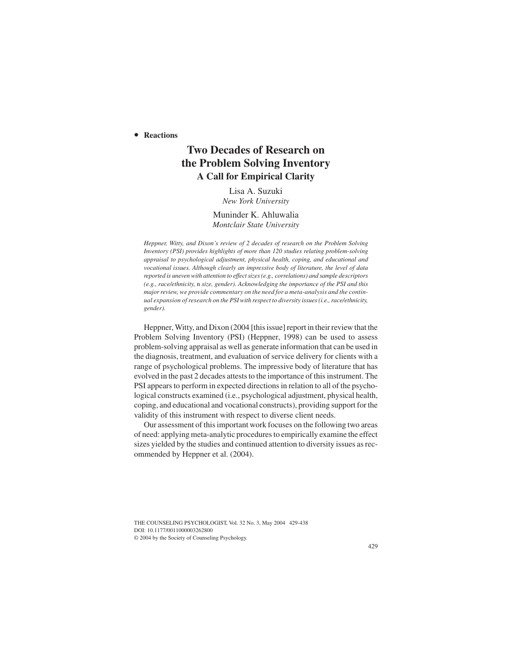**•** Reactions

## **Two Decades of Research on the Problem Solving Inventory A Call for Empirical Clarity**

Lisa A. Suzuki *New York University*

#### Muninder K. Ahluwalia *Montclair State University*

*Heppner, Witty, and Dixon's review of 2 decades of research on the Problem Solving Inventory (PSI) provides highlights of more than 120 studies relating problem-solving appraisal to psychological adjustment, physical health, coping, and educational and vocational issues. Although clearly an impressive body of literature, the level of data reported is uneven with attention to effect sizes (e.g., correlations) and sample descriptors (e.g., race/ethnicity,* n *size, gender). Acknowledging the importance of the PSI and this major review, we provide commentary on the need for a meta-analysis and the continual expansion of research on the PSI with respect to diversity issues (i.e., race/ethnicity, gender).*

Heppner, Witty, and Dixon (2004 [this issue] report in their review that the Problem Solving Inventory (PSI) (Heppner, 1998) can be used to assess problem-solving appraisal as well as generate information that can be used in the diagnosis, treatment, and evaluation of service delivery for clients with a range of psychological problems. The impressive body of literature that has evolved in the past 2 decades attests to the importance of this instrument. The PSI appears to perform in expected directions in relation to all of the psychological constructs examined (i.e., psychological adjustment, physical health, coping, and educational and vocational constructs), providing support for the validity of this instrument with respect to diverse client needs.

Our assessment of this important work focuses on the following two areas of need: applying meta-analytic procedures to empirically examine the effect sizes yielded by the studies and continued attention to diversity issues as recommended by Heppner et al. (2004).

THE COUNSELING PSYCHOLOGIST, Vol. 32 No. 3, May 2004 429-438 DOI: 10.1177/0011000003262800 © 2004 by the Society of Counseling Psychology.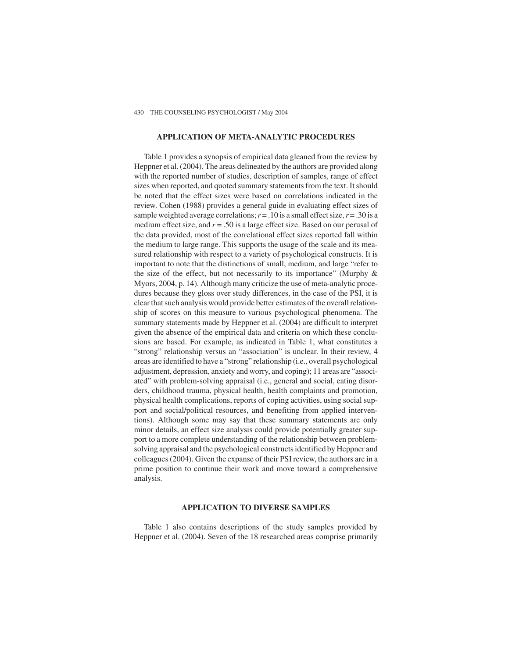#### **APPLICATION OF META-ANALYTIC PROCEDURES**

Table 1 provides a synopsis of empirical data gleaned from the review by Heppner et al. (2004). The areas delineated by the authors are provided along with the reported number of studies, description of samples, range of effect sizes when reported, and quoted summary statements from the text. It should be noted that the effect sizes were based on correlations indicated in the review. Cohen (1988) provides a general guide in evaluating effect sizes of sample weighted average correlations;  $r = .10$  is a small effect size,  $r = .30$  is a medium effect size, and *r* = .50 is a large effect size. Based on our perusal of the data provided, most of the correlational effect sizes reported fall within the medium to large range. This supports the usage of the scale and its measured relationship with respect to a variety of psychological constructs. It is important to note that the distinctions of small, medium, and large "refer to the size of the effect, but not necessarily to its importance" (Murphy  $\&$ Myors, 2004, p. 14). Although many criticize the use of meta-analytic procedures because they gloss over study differences, in the case of the PSI, it is clear that such analysis would provide better estimates of the overall relationship of scores on this measure to various psychological phenomena. The summary statements made by Heppner et al. (2004) are difficult to interpret given the absence of the empirical data and criteria on which these conclusions are based. For example, as indicated in Table 1, what constitutes a "strong" relationship versus an "association" is unclear. In their review, 4 areas are identified to have a "strong" relationship (i.e., overall psychological adjustment, depression, anxiety and worry, and coping); 11 areas are "associated" with problem-solving appraisal (i.e., general and social, eating disorders, childhood trauma, physical health, health complaints and promotion, physical health complications, reports of coping activities, using social support and social/political resources, and benefiting from applied interventions). Although some may say that these summary statements are only minor details, an effect size analysis could provide potentially greater support to a more complete understanding of the relationship between problemsolving appraisal and the psychological constructs identified by Heppner and colleagues (2004). Given the expanse of their PSI review, the authors are in a prime position to continue their work and move toward a comprehensive analysis.

#### **APPLICATION TO DIVERSE SAMPLES**

Table 1 also contains descriptions of the study samples provided by Heppner et al. (2004). Seven of the 18 researched areas comprise primarily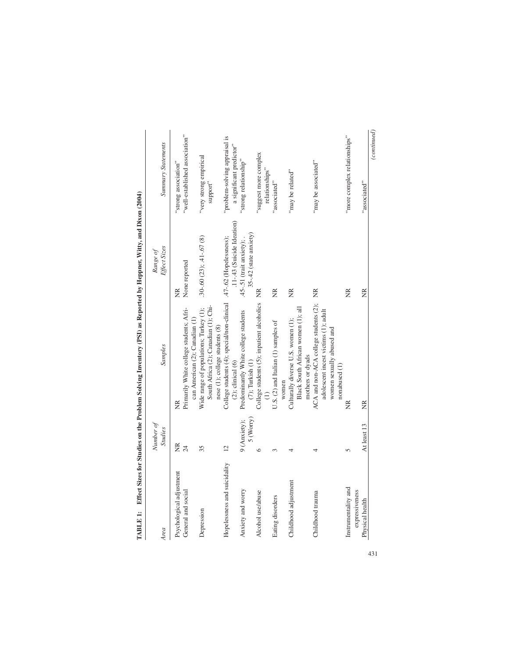|                              | Number of       |                                                                    | Range of                   |                                |
|------------------------------|-----------------|--------------------------------------------------------------------|----------------------------|--------------------------------|
| Area                         | <b>Studies</b>  | Samples                                                            | Effect Sizes               | Summary Statements             |
| Psychological adjustment     | Ě               | Ĕ                                                                  | ž                          | 'strong association''          |
| General and social           | $\overline{24}$ | Primarily White college students; Afri-                            | None reported              | "well-established association" |
|                              |                 | can American (2); Canadian (1)                                     |                            |                                |
| Depression                   | 35              | Wide range of populations; Turkey (1);                             | $.30-.60(23); .41-.67(8)$  | 'very strong empirical         |
|                              |                 | South Africa (2); Canadian (1); Chi-                               |                            | support"                       |
|                              |                 | nese (1); college students (8)                                     |                            |                                |
| Hopelessness and suicidality | $\overline{c}$  | College students (4); special/non-clinical .47-.62 (Hopelessness); |                            | 'problem-solving appraisal is  |
|                              |                 | $(2)$ ; clinical $(6)$                                             | .11-.43 (Suicide Ideation) | a significant predictor"       |
| Anxiety and worry            | 9 (Anxiety);    | Predominantly White college students                               | .45-.51 (trait anxiety); . | "strong relationship"          |
|                              | 5 (Worry)       | $(7)$ ; Turkish $(1)$                                              | 35-.42 (state anxiety)     |                                |
| Alcohol use/abuse            |                 | College students (5); inpatient alcoholics                         | ž                          | "suggest more complex          |
|                              |                 | $\widehat{z}$                                                      |                            | relationships"                 |
| Eating disorders             |                 | U.S. (2) and Italian (1) samples of                                | ž                          | "associated"                   |
|                              |                 | women                                                              |                            |                                |
| Childhood adjustment         |                 | Culturally diverse U.S. women (1);                                 | Ž                          | "may be related"               |
|                              |                 | Black South African women (1); all                                 |                            |                                |
|                              |                 | mothers or dyads                                                   |                            |                                |
| Childhood trauma             |                 | ACA and non-ACA college students (2);                              | ž                          | 'may be associated"            |
|                              |                 | adolescent incest victims (1); adult                               |                            |                                |
|                              |                 | women sexually abused and                                          |                            |                                |
|                              |                 | nonabused (1)                                                      |                            |                                |
| Instrumentality and          |                 | $\widetilde{\Xi}$                                                  | ž                          | "more complex relationships"   |
| expressiveness               |                 |                                                                    |                            |                                |
| Physical health              | At least 13     | Ĕ                                                                  | Ĕ                          | "associated"                   |
|                              |                 |                                                                    |                            | (continued)                    |

TABLE 1: Effect Sizes for Studies on the Problem Solving Inventory (PSI) as Reported by Heppner, Witty, and Dixon (2004) **TABLE 1: Effect Sizes for Studies on the Problem Solving Inventory (PSI) as Reported by Heppner, Witty, and Dixon (2004)**

431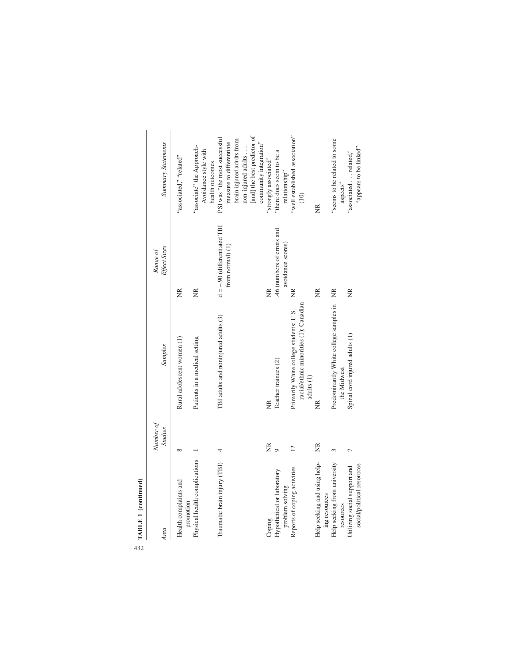432 **TABLE 1 (continued)**

| Area                                                       | Number of<br><b>Studies</b> | Samples                                                                                        | Effect Sizes<br>Range of                          | <b>Summary Statements</b>                                                      |
|------------------------------------------------------------|-----------------------------|------------------------------------------------------------------------------------------------|---------------------------------------------------|--------------------------------------------------------------------------------|
| Health complaints and<br>promotion                         | $\infty$                    | Rural adolescent women (1)                                                                     | Ĕ                                                 | "associated," "related"                                                        |
| Physical health complications                              |                             | Patients in a medical setting                                                                  | Ĕ                                                 | "associate" the Approach-<br>Avoidance style with                              |
| Traumatic brain injury (TBI)                               |                             | TBI adults and noninjured adults (3)                                                           | $d = -90$ (differentiated TBI<br>from normal) (1) | PSI was "the most successful<br>measure to differentiate<br>health outcomes    |
|                                                            |                             |                                                                                                |                                                   | [and] the best predictor of<br>brain injured adults from<br>non-injured adults |
| Coping                                                     | $\widetilde{\Xi}$           | $\frac{1}{2}$                                                                                  | Ĕ                                                 | community integration"<br>"strongly associated"                                |
| Hypothetical or laboratory<br>problem solving              |                             | Teacher trainees (2)                                                                           | .46 (numbers of errors and<br>avoidance scores)   | "there does seem to be a<br>relationship"                                      |
| Reports of coping activities                               | 12                          | racial/ethnic minorities (1); Canadian<br>Primarily White college students; U.S.<br>adults (1) | Ĕ                                                 | "well established association"<br>$\frac{1}{2}$                                |
| Help seeking and using help-<br>ing resources              | $\widetilde{\Xi}$           | ž                                                                                              | Ĕ                                                 | Ĕ                                                                              |
| Help seeking from university<br>resources                  |                             | Predominantly White college samples in<br>the Midwest                                          | Ĕ                                                 | "seems to be related to some<br>aspects"                                       |
| social/political resources<br>Utilizing social support and |                             | Spinal cord injured adults (1)                                                                 | g                                                 | "appears to be linked"<br>"associated related,"                                |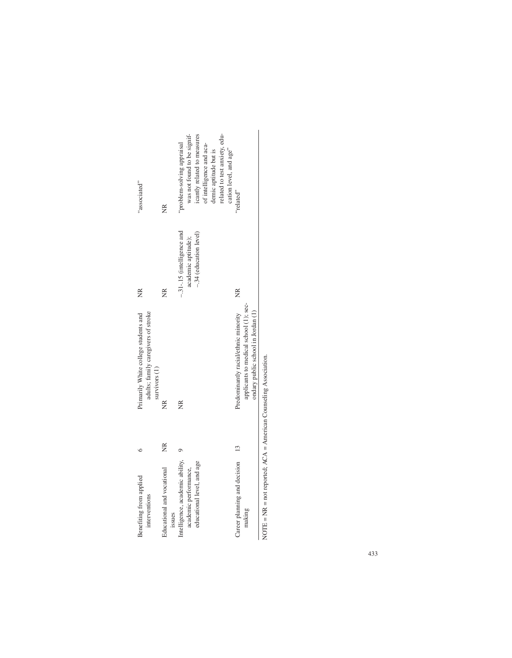| Benefiting from applied<br>interventions                                               |    | adults; family caregivers of stroke<br>Primarily White college students and                                          | ž                                                                             | "associated"                                                                                                                                  |
|----------------------------------------------------------------------------------------|----|----------------------------------------------------------------------------------------------------------------------|-------------------------------------------------------------------------------|-----------------------------------------------------------------------------------------------------------------------------------------------|
| Educational and vocational<br>issues                                                   | XR | survivors (1)<br>ž                                                                                                   | ž                                                                             | ž                                                                                                                                             |
| Intelligence, academic ability,<br>educational level, and age<br>academic performance, |    | Ž                                                                                                                    | -.31-.15 (intelligence and<br>$-.34$ (education level)<br>academic aptitude); | was not found to be signif-<br>icantly related to measures<br>'problem-solving appraisal<br>of intelligence and aca-<br>demic aptitude but is |
| Career planning and decision<br>making                                                 |    | applicants to medical school (1); sec-<br>Predominantly racial/ethnic minority<br>ondary public school in Jordan (1) | ž                                                                             | related to test anxiety, edu-<br>cation level, and age"<br>"related"                                                                          |

NOTE = NR = not reported;  $ACA = American \text{ Commission}$ . NOTE = NR = not reported; ACA = American Counseling Association.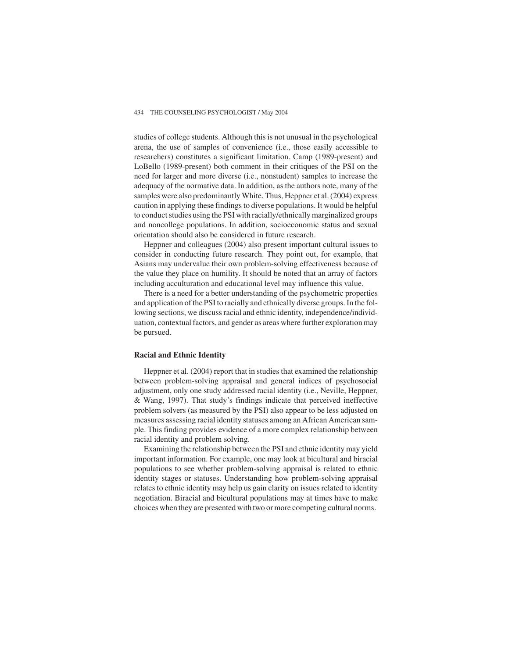#### 434 THE COUNSELING PSYCHOLOGIST / May 2004

studies of college students. Although this is not unusual in the psychological arena, the use of samples of convenience (i.e., those easily accessible to researchers) constitutes a significant limitation. Camp (1989-present) and LoBello (1989-present) both comment in their critiques of the PSI on the need for larger and more diverse (i.e., nonstudent) samples to increase the adequacy of the normative data. In addition, as the authors note, many of the samples were also predominantly White. Thus, Heppner et al. (2004) express caution in applying these findings to diverse populations. It would be helpful to conduct studies using the PSI with racially/ethnically marginalized groups and noncollege populations. In addition, socioeconomic status and sexual orientation should also be considered in future research.

Heppner and colleagues (2004) also present important cultural issues to consider in conducting future research. They point out, for example, that Asians may undervalue their own problem-solving effectiveness because of the value they place on humility. It should be noted that an array of factors including acculturation and educational level may influence this value.

There is a need for a better understanding of the psychometric properties and application of the PSI to racially and ethnically diverse groups. In the following sections, we discuss racial and ethnic identity, independence/individuation, contextual factors, and gender as areas where further exploration may be pursued.

#### **Racial and Ethnic Identity**

Heppner et al. (2004) report that in studies that examined the relationship between problem-solving appraisal and general indices of psychosocial adjustment, only one study addressed racial identity (i.e., Neville, Heppner, & Wang, 1997). That study's findings indicate that perceived ineffective problem solvers (as measured by the PSI) also appear to be less adjusted on measures assessing racial identity statuses among an African American sample. This finding provides evidence of a more complex relationship between racial identity and problem solving.

Examining the relationship between the PSI and ethnic identity may yield important information. For example, one may look at bicultural and biracial populations to see whether problem-solving appraisal is related to ethnic identity stages or statuses. Understanding how problem-solving appraisal relates to ethnic identity may help us gain clarity on issues related to identity negotiation. Biracial and bicultural populations may at times have to make choices when they are presented with two or more competing cultural norms.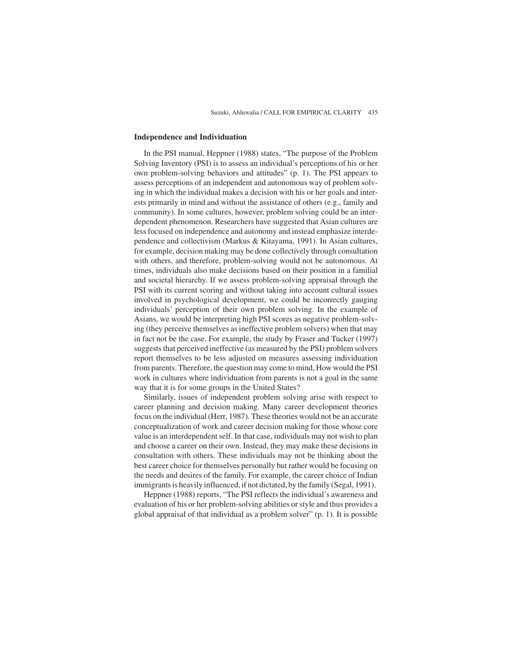#### **Independence and Individuation**

In the PSI manual, Heppner (1988) states, "The purpose of the Problem Solving Inventory (PSI) is to assess an individual's perceptions of his or her own problem-solving behaviors and attitudes" (p. 1). The PSI appears to assess perceptions of an independent and autonomous way of problem solving in which the individual makes a decision with his or her goals and interests primarily in mind and without the assistance of others (e.g., family and community). In some cultures, however, problem solving could be an interdependent phenomenon. Researchers have suggested that Asian cultures are less focused on independence and autonomy and instead emphasize interdependence and collectivism (Markus & Kitayama, 1991). In Asian cultures, for example, decision making may be done collectively through consultation with others, and therefore, problem-solving would not be autonomous. At times, individuals also make decisions based on their position in a familial and societal hierarchy. If we assess problem-solving appraisal through the PSI with its current scoring and without taking into account cultural issues involved in psychological development, we could be incorrectly gauging individuals' perception of their own problem solving. In the example of Asians, we would be interpreting high PSI scores as negative problem-solving (they perceive themselves as ineffective problem solvers) when that may in fact not be the case. For example, the study by Fraser and Tucker (1997) suggests that perceived ineffective (as measured by the PSI) problem solvers report themselves to be less adjusted on measures assessing individuation from parents. Therefore, the question may come to mind, How would the PSI work in cultures where individuation from parents is not a goal in the same way that it is for some groups in the United States?

Similarly, issues of independent problem solving arise with respect to career planning and decision making. Many career development theories focus on the individual (Herr, 1987). These theories would not be an accurate conceptualization of work and career decision making for those whose core value is an interdependent self. In that case, individuals may not wish to plan and choose a career on their own. Instead, they may make these decisions in consultation with others. These individuals may not be thinking about the best career choice for themselves personally but rather would be focusing on the needs and desires of the family. For example, the career choice of Indian immigrants is heavily influenced, if not dictated, by the family (Segal, 1991).

Heppner (1988) reports, "The PSI reflects the individual's awareness and evaluation of his or her problem-solving abilities or style and thus provides a global appraisal of that individual as a problem solver" (p. 1). It is possible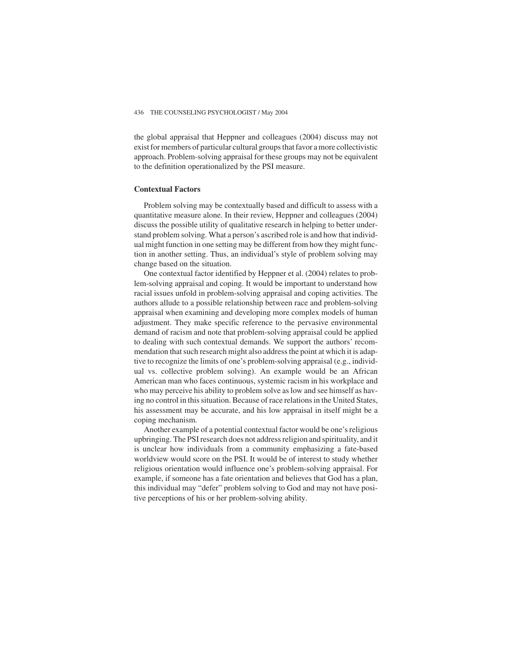#### 436 THE COUNSELING PSYCHOLOGIST / May 2004

the global appraisal that Heppner and colleagues (2004) discuss may not exist for members of particular cultural groups that favor a more collectivistic approach. Problem-solving appraisal for these groups may not be equivalent to the definition operationalized by the PSI measure.

#### **Contextual Factors**

Problem solving may be contextually based and difficult to assess with a quantitative measure alone. In their review, Heppner and colleagues (2004) discuss the possible utility of qualitative research in helping to better understand problem solving. What a person's ascribed role is and how that individual might function in one setting may be different from how they might function in another setting. Thus, an individual's style of problem solving may change based on the situation.

One contextual factor identified by Heppner et al. (2004) relates to problem-solving appraisal and coping. It would be important to understand how racial issues unfold in problem-solving appraisal and coping activities. The authors allude to a possible relationship between race and problem-solving appraisal when examining and developing more complex models of human adjustment. They make specific reference to the pervasive environmental demand of racism and note that problem-solving appraisal could be applied to dealing with such contextual demands. We support the authors' recommendation that such research might also address the point at which it is adaptive to recognize the limits of one's problem-solving appraisal (e.g., individual vs. collective problem solving). An example would be an African American man who faces continuous, systemic racism in his workplace and who may perceive his ability to problem solve as low and see himself as having no control in this situation. Because of race relations in the United States, his assessment may be accurate, and his low appraisal in itself might be a coping mechanism.

Another example of a potential contextual factor would be one's religious upbringing. The PSI research does not address religion and spirituality, and it is unclear how individuals from a community emphasizing a fate-based worldview would score on the PSI. It would be of interest to study whether religious orientation would influence one's problem-solving appraisal. For example, if someone has a fate orientation and believes that God has a plan, this individual may "defer" problem solving to God and may not have positive perceptions of his or her problem-solving ability.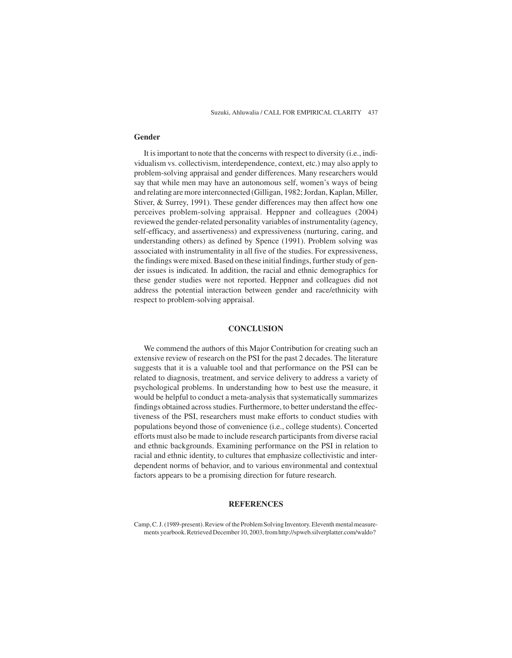#### **Gender**

It is important to note that the concerns with respect to diversity (i.e., individualism vs. collectivism, interdependence, context, etc.) may also apply to problem-solving appraisal and gender differences. Many researchers would say that while men may have an autonomous self, women's ways of being and relating are more interconnected (Gilligan, 1982; Jordan, Kaplan, Miller, Stiver, & Surrey, 1991). These gender differences may then affect how one perceives problem-solving appraisal. Heppner and colleagues (2004) reviewed the gender-related personality variables of instrumentality (agency, self-efficacy, and assertiveness) and expressiveness (nurturing, caring, and understanding others) as defined by Spence (1991). Problem solving was associated with instrumentality in all five of the studies. For expressiveness, the findings were mixed. Based on these initial findings, further study of gender issues is indicated. In addition, the racial and ethnic demographics for these gender studies were not reported. Heppner and colleagues did not address the potential interaction between gender and race/ethnicity with respect to problem-solving appraisal.

#### **CONCLUSION**

We commend the authors of this Major Contribution for creating such an extensive review of research on the PSI for the past 2 decades. The literature suggests that it is a valuable tool and that performance on the PSI can be related to diagnosis, treatment, and service delivery to address a variety of psychological problems. In understanding how to best use the measure, it would be helpful to conduct a meta-analysis that systematically summarizes findings obtained across studies. Furthermore, to better understand the effectiveness of the PSI, researchers must make efforts to conduct studies with populations beyond those of convenience (i.e., college students). Concerted efforts must also be made to include research participants from diverse racial and ethnic backgrounds. Examining performance on the PSI in relation to racial and ethnic identity, to cultures that emphasize collectivistic and interdependent norms of behavior, and to various environmental and contextual factors appears to be a promising direction for future research.

#### **REFERENCES**

Camp, C. J. (1989-present). Review of the Problem Solving Inventory. Eleventh mental measurements yearbook. Retrieved December 10, 2003, from http://spweb.silverplatter.com/waldo?